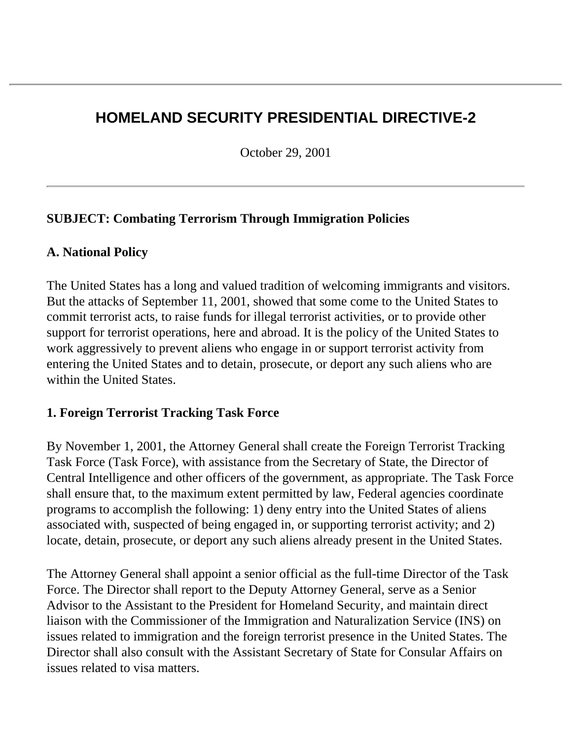# **HOMELAND SECURITY PRESIDENTIAL DIRECTIVE-2**

October 29, 2001

### **SUBJECT: Combating Terrorism Through Immigration Policies**

#### **A. National Policy**

The United States has a long and valued tradition of welcoming immigrants and visitors. But the attacks of September 11, 2001, showed that some come to the United States to commit terrorist acts, to raise funds for illegal terrorist activities, or to provide other support for terrorist operations, here and abroad. It is the policy of the United States to work aggressively to prevent aliens who engage in or support terrorist activity from entering the United States and to detain, prosecute, or deport any such aliens who are within the United States.

#### **1. Foreign Terrorist Tracking Task Force**

By November 1, 2001, the Attorney General shall create the Foreign Terrorist Tracking Task Force (Task Force), with assistance from the Secretary of State, the Director of Central Intelligence and other officers of the government, as appropriate. The Task Force shall ensure that, to the maximum extent permitted by law, Federal agencies coordinate programs to accomplish the following: 1) deny entry into the United States of aliens associated with, suspected of being engaged in, or supporting terrorist activity; and 2) locate, detain, prosecute, or deport any such aliens already present in the United States.

The Attorney General shall appoint a senior official as the full-time Director of the Task Force. The Director shall report to the Deputy Attorney General, serve as a Senior Advisor to the Assistant to the President for Homeland Security, and maintain direct liaison with the Commissioner of the Immigration and Naturalization Service (INS) on issues related to immigration and the foreign terrorist presence in the United States. The Director shall also consult with the Assistant Secretary of State for Consular Affairs on issues related to visa matters.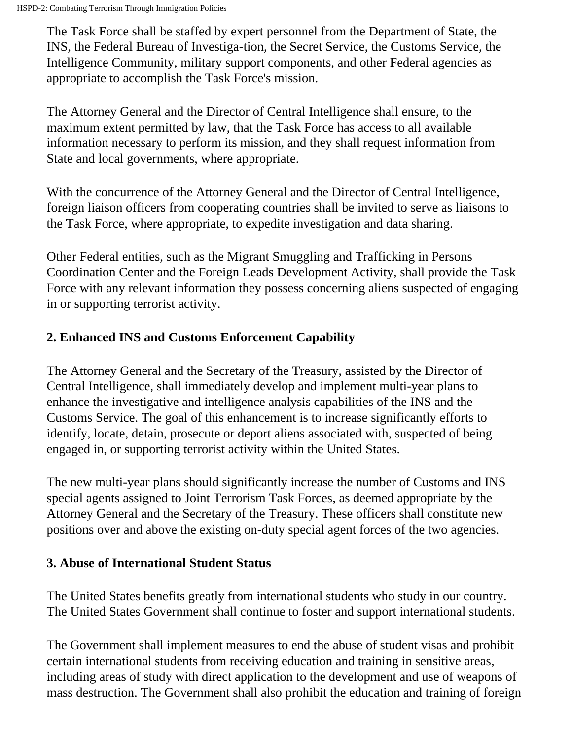The Task Force shall be staffed by expert personnel from the Department of State, the INS, the Federal Bureau of Investiga-tion, the Secret Service, the Customs Service, the Intelligence Community, military support components, and other Federal agencies as appropriate to accomplish the Task Force's mission.

The Attorney General and the Director of Central Intelligence shall ensure, to the maximum extent permitted by law, that the Task Force has access to all available information necessary to perform its mission, and they shall request information from State and local governments, where appropriate.

With the concurrence of the Attorney General and the Director of Central Intelligence, foreign liaison officers from cooperating countries shall be invited to serve as liaisons to the Task Force, where appropriate, to expedite investigation and data sharing.

Other Federal entities, such as the Migrant Smuggling and Trafficking in Persons Coordination Center and the Foreign Leads Development Activity, shall provide the Task Force with any relevant information they possess concerning aliens suspected of engaging in or supporting terrorist activity.

# **2. Enhanced INS and Customs Enforcement Capability**

The Attorney General and the Secretary of the Treasury, assisted by the Director of Central Intelligence, shall immediately develop and implement multi-year plans to enhance the investigative and intelligence analysis capabilities of the INS and the Customs Service. The goal of this enhancement is to increase significantly efforts to identify, locate, detain, prosecute or deport aliens associated with, suspected of being engaged in, or supporting terrorist activity within the United States.

The new multi-year plans should significantly increase the number of Customs and INS special agents assigned to Joint Terrorism Task Forces, as deemed appropriate by the Attorney General and the Secretary of the Treasury. These officers shall constitute new positions over and above the existing on-duty special agent forces of the two agencies.

# **3. Abuse of International Student Status**

The United States benefits greatly from international students who study in our country. The United States Government shall continue to foster and support international students.

The Government shall implement measures to end the abuse of student visas and prohibit certain international students from receiving education and training in sensitive areas, including areas of study with direct application to the development and use of weapons of mass destruction. The Government shall also prohibit the education and training of foreign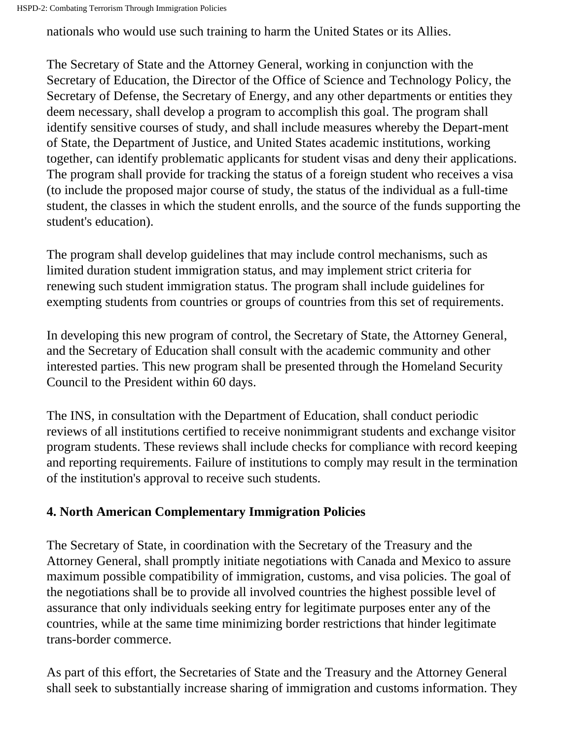HSPD-2: Combating Terrorism Through Immigration Policies

nationals who would use such training to harm the United States or its Allies.

The Secretary of State and the Attorney General, working in conjunction with the Secretary of Education, the Director of the Office of Science and Technology Policy, the Secretary of Defense, the Secretary of Energy, and any other departments or entities they deem necessary, shall develop a program to accomplish this goal. The program shall identify sensitive courses of study, and shall include measures whereby the Depart-ment of State, the Department of Justice, and United States academic institutions, working together, can identify problematic applicants for student visas and deny their applications. The program shall provide for tracking the status of a foreign student who receives a visa (to include the proposed major course of study, the status of the individual as a full-time student, the classes in which the student enrolls, and the source of the funds supporting the student's education).

The program shall develop guidelines that may include control mechanisms, such as limited duration student immigration status, and may implement strict criteria for renewing such student immigration status. The program shall include guidelines for exempting students from countries or groups of countries from this set of requirements.

In developing this new program of control, the Secretary of State, the Attorney General, and the Secretary of Education shall consult with the academic community and other interested parties. This new program shall be presented through the Homeland Security Council to the President within 60 days.

The INS, in consultation with the Department of Education, shall conduct periodic reviews of all institutions certified to receive nonimmigrant students and exchange visitor program students. These reviews shall include checks for compliance with record keeping and reporting requirements. Failure of institutions to comply may result in the termination of the institution's approval to receive such students.

# **4. North American Complementary Immigration Policies**

The Secretary of State, in coordination with the Secretary of the Treasury and the Attorney General, shall promptly initiate negotiations with Canada and Mexico to assure maximum possible compatibility of immigration, customs, and visa policies. The goal of the negotiations shall be to provide all involved countries the highest possible level of assurance that only individuals seeking entry for legitimate purposes enter any of the countries, while at the same time minimizing border restrictions that hinder legitimate trans-border commerce.

As part of this effort, the Secretaries of State and the Treasury and the Attorney General shall seek to substantially increase sharing of immigration and customs information. They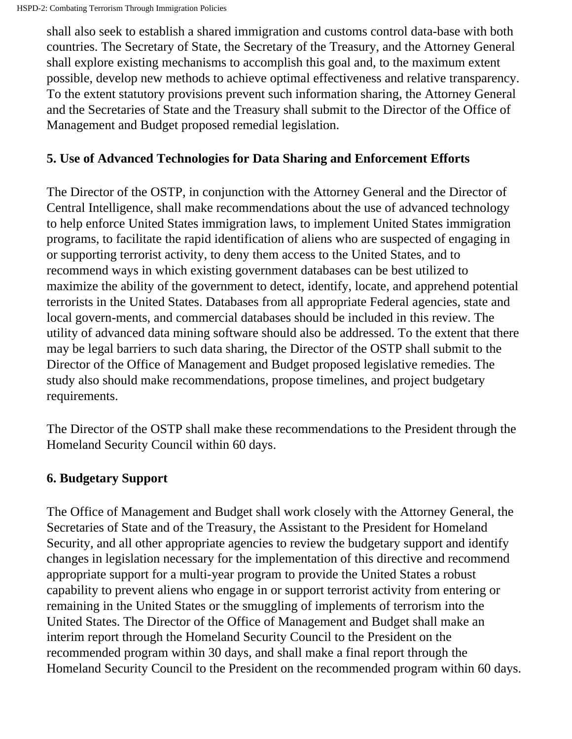shall also seek to establish a shared immigration and customs control data-base with both countries. The Secretary of State, the Secretary of the Treasury, and the Attorney General shall explore existing mechanisms to accomplish this goal and, to the maximum extent possible, develop new methods to achieve optimal effectiveness and relative transparency. To the extent statutory provisions prevent such information sharing, the Attorney General and the Secretaries of State and the Treasury shall submit to the Director of the Office of Management and Budget proposed remedial legislation.

### **5. Use of Advanced Technologies for Data Sharing and Enforcement Efforts**

The Director of the OSTP, in conjunction with the Attorney General and the Director of Central Intelligence, shall make recommendations about the use of advanced technology to help enforce United States immigration laws, to implement United States immigration programs, to facilitate the rapid identification of aliens who are suspected of engaging in or supporting terrorist activity, to deny them access to the United States, and to recommend ways in which existing government databases can be best utilized to maximize the ability of the government to detect, identify, locate, and apprehend potential terrorists in the United States. Databases from all appropriate Federal agencies, state and local govern-ments, and commercial databases should be included in this review. The utility of advanced data mining software should also be addressed. To the extent that there may be legal barriers to such data sharing, the Director of the OSTP shall submit to the Director of the Office of Management and Budget proposed legislative remedies. The study also should make recommendations, propose timelines, and project budgetary requirements.

The Director of the OSTP shall make these recommendations to the President through the Homeland Security Council within 60 days.

# **6. Budgetary Support**

The Office of Management and Budget shall work closely with the Attorney General, the Secretaries of State and of the Treasury, the Assistant to the President for Homeland Security, and all other appropriate agencies to review the budgetary support and identify changes in legislation necessary for the implementation of this directive and recommend appropriate support for a multi-year program to provide the United States a robust capability to prevent aliens who engage in or support terrorist activity from entering or remaining in the United States or the smuggling of implements of terrorism into the United States. The Director of the Office of Management and Budget shall make an interim report through the Homeland Security Council to the President on the recommended program within 30 days, and shall make a final report through the Homeland Security Council to the President on the recommended program within 60 days.